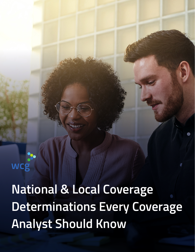wcg

**National & Local Coverage Determinations Every Coverage Analyst Should Know**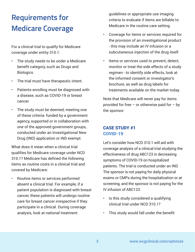# **Requirements for Medicare Coverage**

For a clinical trial to qualify for Medicare coverage under entity 310.1:

- The study needs to be under a Medicare benefit category, such as Drugs and Biologics.
- The trial must have therapeutic intent.
- Patients enrolling must be diagnosed with a disease, such as COVID-19 or breast cancer.
- The study must be deemed, meeting one of these criteria: funded by a government agency, supported or in collaboration with one of the approved government groups, conducted under an Investigational New Drug (IND) application or IND exempt.

What does it mean when a clinical trial qualifies for Medicare coverage under NCD 310.1? Medicare has defined the following items as routine costs in a clinical trial and covered by Medicare:

• Routine items or services performed absent a clinical trial. For example, if a patient population is diagnosed with breast cancer, these patients will undergo routine care for breast cancer irrespective if they participate in a clinical. During coverage analysis, look at national treatment

guidelines or appropriate use imaging criteria to evaluate if items are billable to Medicare in the routine care setting.

- Coverage for items or services required for the provision of an investigational product - this may include an IV infusion or a subcutaneous injection of the drug itself.
- Items or services used to prevent, detect, monitor or treat the side effects of a study regimen - to identify side effects, look at the informed consent or investigator's brochure, as well as drug labels for treatments available on the market today.

Note that Medicare will never pay for items provided for free  $-$  or otherwise paid for  $-$  by the sponsor.

## CASE STUDY #1 COVID-19

Let's consider how NCD 310.1 will aid with coverage analysis of a clinical trial studying the effectiveness of drug ABC123 in decreasing symptoms of COVID-19 on hospitalized patients. The trial is conducted under an IND. The sponsor is not paying for daily physical exams or CMPs during the hospitalization or at screening, and the sponsor is not paying for the IV infusion of ABC123.

- Is this study considered a qualifying clinical trial under NCD 310.1?
- This study would fall under the benefit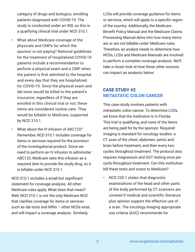category of drugs and biologics, enrolling patients diagnosed with COVID-19. The study is conducted under an IND, so this is a qualifying clinical trial under NCD 310.1.

- What about Medicare coverage of the physicals and CMPs for which the sponsor is not paying? National guidelines for the treatment of hospitalized COVID-19 patients include a recommendation to perform a physical exam and a CMP when the patient is first admitted to the hospital and every day that they are hospitalized for COVID-19. Since the physical exam and lab tests would be billed to the patient's insurance, regardless of if they are enrolled in this clinical trial or not, these items are considered routine care. They would be billable to Medicare, supported by NCD 310.1.
- What about the IV infusion of ABC123? Remember, NCD 310.1 includes coverage for items or services required for the provision of the investigational product. Since we need to perform an IV infusion to administer ABC123, Medicare sees this infusion as a required item to provide the study drug, so it is billable under NCD 310.1.

NCD 310.1 includes a small but significant statement for coverage analysis: All other Medicare rules apply. What does that mean? Well, NCD 310.1 is not the only Medicare NCD that clarifies coverage for items or services such as lab tests and MRIs – other NCDs exist, and will impact a coverage analysis. Similarly,

LCDs will provide coverage guidance for items or services, which will apply to a specific region of the country. Additionally, the Medicare Benefit Policy Manual and the Medicare Claims Processing Manual delve into how many items are or are not billable under Medicare rules. Therefore, an analyst needs to determine how NCDs, LCDs and Medicare Manuals are involved to perform a complete coverage analysis. We'll take a closer look at how these other sources can impact an analysis, below:

## CASE STUDY #2 METASTATIC COLON CANCER

This case study involves patients with metastatic colon cancer. To determine LCDs, we know that the institution is in Florida. This trial is qualifying, and none of the items are being paid for by the sponsor. Required imaging is standard for oncology studies: a CT scan of the chest, abdomen, pelvis and brain before treatment, and then every two cycles throughout treatment. The protocol also requires magnesium and GGT testing once per cycle throughout treatment. Can this institution bill these tests and scans to Medicare?

• NCD 220.1 states that diagnostic examinations of the head and other parts of the body performed by CT scanners are covered if medical and scientific literature plus opinion support the effective use of a scan. The oncology imaging appropriate use criteria (AUC) recommends for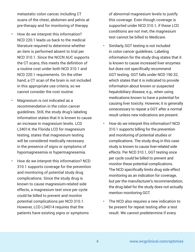metastatic colon cancer, including CT scans of the chest, abdomen and pelvis at pre-therapy and for monitoring of therapy.

- How do we interpret this information? NCD 220.1 leads us back to the medical literature required to determine whether an item is performed absent to trial per NCD 310.1. Since the NCCN AUC supports the CT scans, this meets the definition of a routine cost under both NCD 310.1 and NCD 220.1 requirements. On the other hand, a CT scan of the brain is not included in this appropriate use criteria, so we cannot consider the cost routine.
	- Magnesium is not indicated as a recommendation in the colon cancer guidelines. Still, the study drug's labeling information states that it is known to cause an increase in magnesium levels. LCD L34014, the Florida LCD for magnesium testing, states that magnesium testing will be considered medically necessary in the presence of signs or symptoms of hypomagnesemia or hypermagnesemia.
- How do we interpret this information? NCD 310.1 supports coverage for the prevention and monitoring of potential study drug complications. Since the study drug is known to cause magnesium-related side effects, a magnesium test once per cycle could be billed to prevent and monitor potential complications per NCD 310.1. However, LCD L34014 requires that the patients have existing signs or symptoms

of abnormal magnesium levels to justify this coverage. Even though coverage is supported under NCD 310.1, if these LCD conditions are not met, the magnesium test cannot be billed to Medicare.

- Similarly, GGT testing is not included in colon cancer guidelines. Labeling information for the study drug states that it is known to cause increased liver enzymes but does not specifically recommend GGT testing. GGT falls under NCD 190.32, which states that it is indicated to provide information about known or suspected hepatobiliary disease, e.g., when using medications known to have a potential for causing liver toxicity. However, it is generally unnecessary to repeat a GGT after a normal result unless new indications are present.
- How do we interpret this information? NCD 310.1 supports billing for the prevention and monitoring of potential studies or complications. The study drug in this case study is known to cause liver-related side effects. Per NCD 310.1, GGT testing once per cycle could be billed to prevent and monitor these potential complications. The NCD specifically limits drug side effect monitoring as an indication for coverage, but per the manufacturer's recommendation, the drug label for the study does not actually mention monitoring GGT.
- The NCD also requires a new indication to be present for repeat testing after a test result. We cannot predetermine if every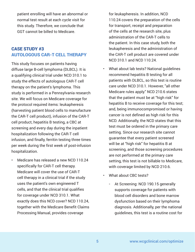patient enrolling will have an abnormal or normal test result at each cycle visit for this study. Therefore, we conclude that GGT cannot be billed to Medicare.

# CASE STUDY #3 AUTOLOGOUS CAR-T CELL THERAPY

This study focuses on patients having diffuse large B-cell lymphoma (DLBCL). It is a qualifying clinical trial under NCD 310.1 to study the effects of autologous CAR-T cell therapy on the patient's lymphoma. This study is performed in a Pennsylvania research site. We will focus on Medicare coverage for the protocol required items: leukapheresis (harvesting patient blood cells to manufacture the CAR-T cell product), infusion of the CAR-T cell product, hepatitis B testing, a CBC at screening and every day during the inpatient hospitalization following the CAR-T cell infusion, and finally, ferritin testing three times per week during the first week of post-infusion hospitalization.

• Medicare has released a new NCD 110.24 specifically for CAR-T cell therapy. Medicare will cover the use of CAR-T cell therapy in a clinical trial if the study uses the patient's own engineered T cells, and that the clinical trial qualifies for coverage under NCD 310.1. What exactly does this NCD cover? NCD 110.24, together with the Medicare Benefit Claims Processing Manual, provides coverage

for leukapheresis. In addition, NCD 110.24 covers the preparation of the cells for transport, receipt and preparation of the cells at the research site, plus administration of the CAR-T cells to the patient. In this case study, both the leukapheresis and the administration of the CAR-T cell product are covered under NCD 310.1 and NCD 110.24.

- What about lab tests? National guidelines recommend hepatitis B testing for all patients with DLBCL, so this test is routine care under NCD 310.1. However, "all other Medicare rules apply." NCD 210.6 states that the patient must be at "high risk" for hepatitis B to receive coverage for this test; and, being immunocompromised or having cancer is not defined as high risk for this NCD. Additionally, the NCD states that this test must be ordered in the primary care setting. Since our research site cannot guarantee that every patient screened will be at "high risk" for hepatitis B at screening, and those screening procedures are not performed at the primary care setting, this test is not billable to Medicare, with coverage limited by NCD 210.6.
- What about CBC tests?
	- At Screening: NCD 190.15 generally supports coverage for patients with blood cell disorders and bone marrow dysfunction based on their lymphoma diagnosis. Additionally, per the national guidelines, this test is a routine cost for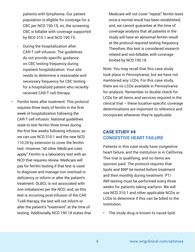patients with lymphoma. Our patient population is eligible for coverage for a CBC per NCD 190.15; so, the screening CBC is billable with coverage supported by NCD 310.1 and NCD 190.15.

- During the hospitalization after CAR-T cell infusion: The guidelines do not provide specific guidance on CBC testing frequency during inpatient hospitalization. Your site needs to determine a reasonable and necessary frequency for CBC testing for a hospitalized patient who recently received CAR-T cell therapy.
- Ferritin tests after treatment: This protocol requires three tests of ferritin in the first week of hospitalization following the CAR-T cell infusion. National guidelines state to test ferritin three times during the first few weeks following infusion, so we can use NCD 310.1 and the new NCD 110.24 by extension to cover the ferritin test. However, "all other Medicare rules apply." Ferritin is a laboratory test with an NCD that requires review. Medicare will pay for ferritin testing if that test is used to diagnose and manage iron overload or deficiency or inform or alter the patient's treatment. DLBCL is not associated with iron imbalances per the NCD; and, as this test is occurring post-infusion of the CAR T-cell therapy, the test will not inform or alter the patient's "treatment" at the time of testing. Additionally, NCD 190.18 states that

Medicare will not cover "repeat" ferritin tests once a normal result has been established; and, we cannot guarantee at the time of coverage analysis that all patients in the study will have an abnormal ferritin result at the protocol required testing frequency. Therefore, this test is considered research related and non-billable, with coverage limited by NCD 190.18.

Note: You may recall that this case study took place in Pennsylvania; but we have not mentioned any LCDs. For this case study, there are no LCDs available in Pennsylvania for analysis. Remember to double check for LCDs for all items and services required in the clinical trial – these location-specific coverage determinations are important to reference and incorporate whenever they're applicable.

### CASE STUDY #4 CONGESTIVE HEART FAILURE

Patients in this case study have congestive heart failure, and the institution is in California. This trial is qualifying, and no items are sponsor paid. The protocol requires that lipids and BNP be tested before treatment and then monthly during treatment. PT/ INR testing must be performed every three weeks for patients taking warfarin. We will use NCD 310.1 and other applicable NCDs or LCDs to determine if this can be billed to the institution.

The study drug is known to cause lipid-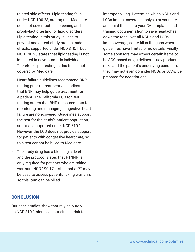related side effects. Lipid testing falls under NCD 190.23, stating that Medicare does not cover routine screening and prophylactic testing for lipid disorders. Lipid testing in this study is used to prevent and detect study product side effects, supported under NCD 310.1, but NCD 190.23 states that lipid testing is not indicated in asymptomatic individuals. Therefore, lipid testing in this trial is not covered by Medicare.

- Heart failure guidelines recommend BNP testing prior to treatment and indicate that BNP may help guide treatment for a patient. The California LCD for BNP testing states that BNP measurements for monitoring and managing congestive heart failure are non-covered. Guidelines support the test for the study's patient population, so this is supported under NCD 310.1. However, the LCD does not provide support for patients with congestive heart care, so this test cannot be billed to Medicare.
- The study drug has a bleeding side effect, and the protocol states that PT/INR is only required for patients who are taking warfarin. NCD 190.17 states that a PT may be used to assess patients taking warfarin, so this item can be billed.

#### **CONCLUSION**

Our case studies show that relying purely on NCD 310.1 alone can put sites at risk for improper billing. Determine which NCDs and LCDs impact coverage analysis at your site and build these into your CA templates and training documentation to save headaches down the road. Not all NCDs and LCDs limit coverage; some fill in the gaps when guidelines have limited or no details. Finally, some sponsors may expect certain items to be SOC based on guidelines, study product risks and the patient's underlying condition; they may not even consider NCDs or LCDs. Be prepared for negotiations.